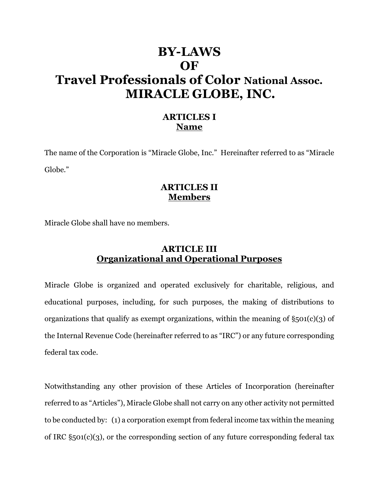# **BY-LAWS OF Travel Professionals of Color National Assoc. MIRACLE GLOBE, INC.**

### **ARTICLES I Name**

The name of the Corporation is "Miracle Globe, Inc." Hereinafter referred to as "Miracle Globe."

### **ARTICLES II Members**

Miracle Globe shall have no members.

### **ARTICLE III Organizational and Operational Purposes**

Miracle Globe is organized and operated exclusively for charitable, religious, and educational purposes, including, for such purposes, the making of distributions to organizations that qualify as exempt organizations, within the meaning of  $\S_501(c)(3)$  of the Internal Revenue Code (hereinafter referred to as "IRC") or any future corresponding federal tax code.

Notwithstanding any other provision of these Articles of Incorporation (hereinafter referred to as "Articles"), Miracle Globe shall not carry on any other activity not permitted to be conducted by: (1) a corporation exempt from federal income tax within the meaning of IRC §501(c)(3), or the corresponding section of any future corresponding federal tax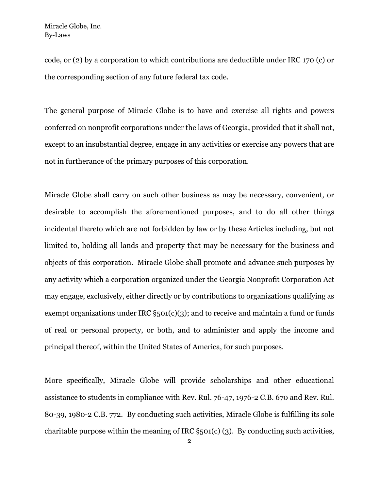code, or (2) by a corporation to which contributions are deductible under IRC 170 (c) or the corresponding section of any future federal tax code.

The general purpose of Miracle Globe is to have and exercise all rights and powers conferred on nonprofit corporations under the laws of Georgia, provided that it shall not, except to an insubstantial degree, engage in any activities or exercise any powers that are not in furtherance of the primary purposes of this corporation.

Miracle Globe shall carry on such other business as may be necessary, convenient, or desirable to accomplish the aforementioned purposes, and to do all other things incidental thereto which are not forbidden by law or by these Articles including, but not limited to, holding all lands and property that may be necessary for the business and objects of this corporation. Miracle Globe shall promote and advance such purposes by any activity which a corporation organized under the Georgia Nonprofit Corporation Act may engage, exclusively, either directly or by contributions to organizations qualifying as exempt organizations under IRC  $\S$ 501(c)(3); and to receive and maintain a fund or funds of real or personal property, or both, and to administer and apply the income and principal thereof, within the United States of America, for such purposes.

More specifically, Miracle Globe will provide scholarships and other educational assistance to students in compliance with Rev. Rul. 76-47, 1976-2 C.B. 670 and Rev. Rul. 80-39, 1980-2 C.B. 772. By conducting such activities, Miracle Globe is fulfilling its sole charitable purpose within the meaning of IRC §501(c) (3). By conducting such activities,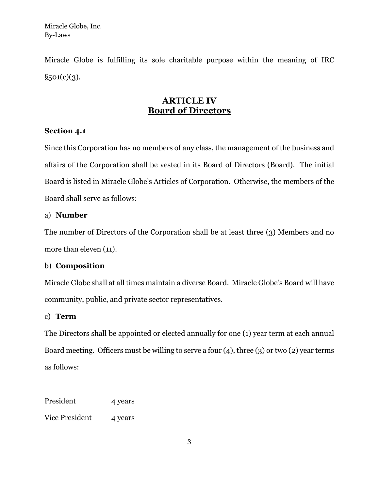Miracle Globe is fulfilling its sole charitable purpose within the meaning of IRC  $§501(c)(3).$ 

### **ARTICLE IV Board of Directors**

#### **Section 4.1**

Since this Corporation has no members of any class, the management of the business and affairs of the Corporation shall be vested in its Board of Directors (Board). The initial Board is listed in Miracle Globe's Articles of Corporation. Otherwise, the members of the Board shall serve as follows:

#### a) **Number**

The number of Directors of the Corporation shall be at least three (3) Members and no more than eleven (11).

#### b) **Composition**

Miracle Globe shall at all times maintain a diverse Board. Miracle Globe's Board will have community, public, and private sector representatives.

#### c) **Term**

The Directors shall be appointed or elected annually for one (1) year term at each annual Board meeting. Officers must be willing to serve a four  $(4)$ , three  $(3)$  or two  $(2)$  year terms as follows:

President 4 years

Vice President 4 years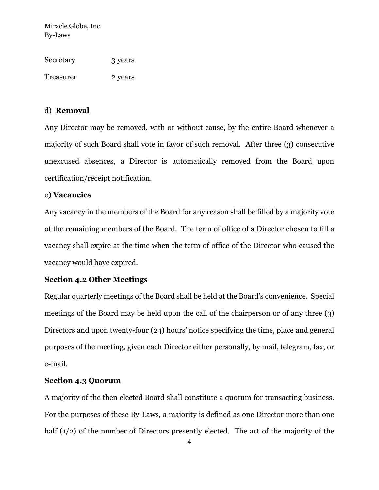| Secretary | 3 years |
|-----------|---------|
| Treasurer | 2 years |

#### d) **Removal**

Any Director may be removed, with or without cause, by the entire Board whenever a majority of such Board shall vote in favor of such removal. After three (3) consecutive unexcused absences, a Director is automatically removed from the Board upon certification/receipt notification.

#### e**) Vacancies**

Any vacancy in the members of the Board for any reason shall be filled by a majority vote of the remaining members of the Board. The term of office of a Director chosen to fill a vacancy shall expire at the time when the term of office of the Director who caused the vacancy would have expired.

#### **Section 4.2 Other Meetings**

Regular quarterly meetings of the Board shall be held at the Board's convenience. Special meetings of the Board may be held upon the call of the chairperson or of any three (3) Directors and upon twenty-four (24) hours' notice specifying the time, place and general purposes of the meeting, given each Director either personally, by mail, telegram, fax, or e-mail.

#### **Section 4.3 Quorum**

A majority of the then elected Board shall constitute a quorum for transacting business. For the purposes of these By-Laws, a majority is defined as one Director more than one half (1/2) of the number of Directors presently elected. The act of the majority of the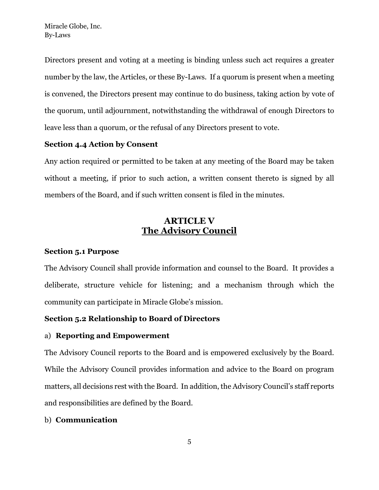Directors present and voting at a meeting is binding unless such act requires a greater number by the law, the Articles, or these By-Laws. If a quorum is present when a meeting is convened, the Directors present may continue to do business, taking action by vote of the quorum, until adjournment, notwithstanding the withdrawal of enough Directors to leave less than a quorum, or the refusal of any Directors present to vote.

#### **Section 4.4 Action by Consent**

Any action required or permitted to be taken at any meeting of the Board may be taken without a meeting, if prior to such action, a written consent thereto is signed by all members of the Board, and if such written consent is filed in the minutes.

### **ARTICLE V The Advisory Council**

### **Section 5.1 Purpose**

The Advisory Council shall provide information and counsel to the Board. It provides a deliberate, structure vehicle for listening; and a mechanism through which the community can participate in Miracle Globe's mission.

### **Section 5.2 Relationship to Board of Directors**

### a) **Reporting and Empowerment**

The Advisory Council reports to the Board and is empowered exclusively by the Board. While the Advisory Council provides information and advice to the Board on program matters, all decisions rest with the Board. In addition, the Advisory Council's staff reports and responsibilities are defined by the Board.

### b) **Communication**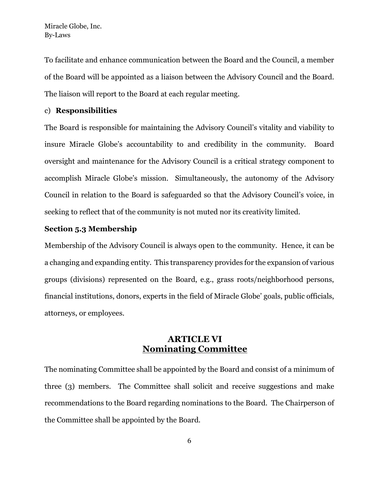To facilitate and enhance communication between the Board and the Council, a member of the Board will be appointed as a liaison between the Advisory Council and the Board. The liaison will report to the Board at each regular meeting.

#### c) **Responsibilities**

The Board is responsible for maintaining the Advisory Council's vitality and viability to insure Miracle Globe's accountability to and credibility in the community. Board oversight and maintenance for the Advisory Council is a critical strategy component to accomplish Miracle Globe's mission. Simultaneously, the autonomy of the Advisory Council in relation to the Board is safeguarded so that the Advisory Council's voice, in seeking to reflect that of the community is not muted nor its creativity limited.

#### **Section 5.3 Membership**

Membership of the Advisory Council is always open to the community. Hence, it can be a changing and expanding entity. This transparency provides for the expansion of various groups (divisions) represented on the Board, e.g., grass roots/neighborhood persons, financial institutions, donors, experts in the field of Miracle Globe' goals, public officials, attorneys, or employees.

### **ARTICLE VI Nominating Committee**

The nominating Committee shall be appointed by the Board and consist of a minimum of three (3) members. The Committee shall solicit and receive suggestions and make recommendations to the Board regarding nominations to the Board. The Chairperson of the Committee shall be appointed by the Board.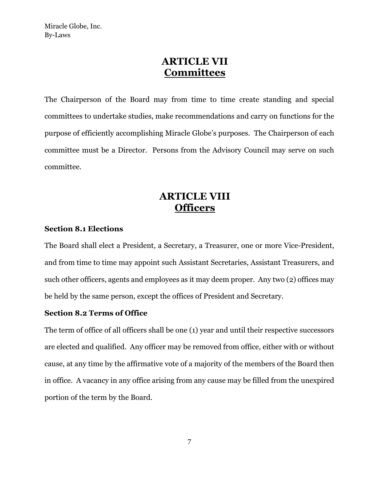### **ARTICLE VII Committees**

The Chairperson of the Board may from time to time create standing and special committees to undertake studies, make recommendations and carry on functions for the purpose of efficiently accomplishing Miracle Globe's purposes. The Chairperson of each committee must be a Director. Persons from the Advisory Council may serve on such committee.

# **ARTICLE VIII Officers**

#### **Section 8.1 Elections**

The Board shall elect a President, a Secretary, a Treasurer, one or more Vice-President, and from time to time may appoint such Assistant Secretaries, Assistant Treasurers, and such other officers, agents and employees as it may deem proper. Any two (2) offices may be held by the same person, except the offices of President and Secretary.

#### **Section 8.2 Terms of Office**

The term of office of all officers shall be one (1) year and until their respective successors are elected and qualified. Any officer may be removed from office, either with or without cause, at any time by the affirmative vote of a majority of the members of the Board then in office. A vacancy in any office arising from any cause may be filled from the unexpired portion of the term by the Board.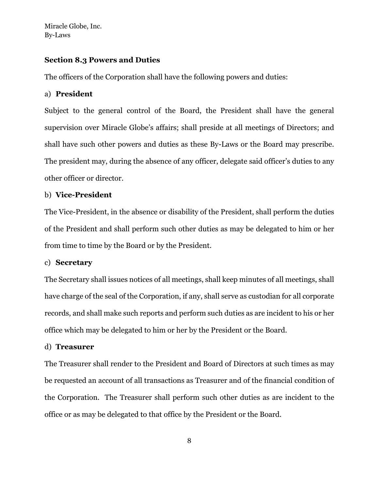#### **Section 8.3 Powers and Duties**

The officers of the Corporation shall have the following powers and duties:

#### a) **President**

Subject to the general control of the Board, the President shall have the general supervision over Miracle Globe's affairs; shall preside at all meetings of Directors; and shall have such other powers and duties as these By-Laws or the Board may prescribe. The president may, during the absence of any officer, delegate said officer's duties to any other officer or director.

#### b) **Vice-President**

The Vice-President, in the absence or disability of the President, shall perform the duties of the President and shall perform such other duties as may be delegated to him or her from time to time by the Board or by the President.

#### c) **Secretary**

The Secretary shall issues notices of all meetings, shall keep minutes of all meetings, shall have charge of the seal of the Corporation, if any, shall serve as custodian for all corporate records, and shall make such reports and perform such duties as are incident to his or her office which may be delegated to him or her by the President or the Board.

#### d) **Treasurer**

The Treasurer shall render to the President and Board of Directors at such times as may be requested an account of all transactions as Treasurer and of the financial condition of the Corporation. The Treasurer shall perform such other duties as are incident to the office or as may be delegated to that office by the President or the Board.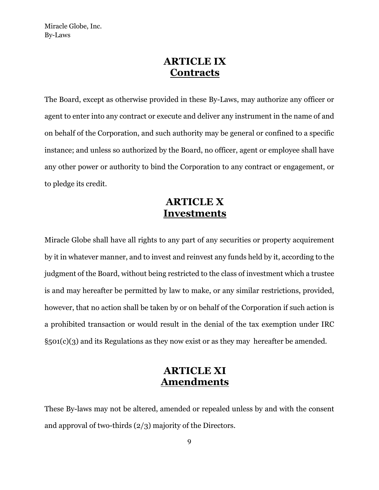### **ARTICLE IX Contracts**

The Board, except as otherwise provided in these By-Laws, may authorize any officer or agent to enter into any contract or execute and deliver any instrument in the name of and on behalf of the Corporation, and such authority may be general or confined to a specific instance; and unless so authorized by the Board, no officer, agent or employee shall have any other power or authority to bind the Corporation to any contract or engagement, or to pledge its credit.

# **ARTICLE X Investments**

Miracle Globe shall have all rights to any part of any securities or property acquirement by it in whatever manner, and to invest and reinvest any funds held by it, according to the judgment of the Board, without being restricted to the class of investment which a trustee is and may hereafter be permitted by law to make, or any similar restrictions, provided, however, that no action shall be taken by or on behalf of the Corporation if such action is a prohibited transaction or would result in the denial of the tax exemption under IRC  $\S$ 501(c)(3) and its Regulations as they now exist or as they may hereafter be amended.

# **ARTICLE XI Amendments**

These By-laws may not be altered, amended or repealed unless by and with the consent and approval of two-thirds (2/3) majority of the Directors.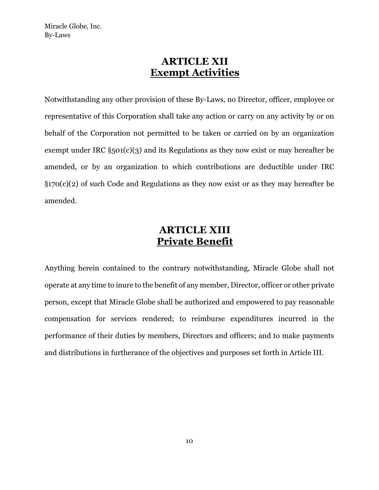### **ARTICLE XII Exempt Activities**

Notwithstanding any other provision of these By-Laws, no Director, officer, employee or representative of this Corporation shall take any action or carry on any activity by or on behalf of the Corporation not permitted to be taken or carried on by an organization exempt under IRC §501(c)(3) and its Regulations as they now exist or may hereafter be amended, or by an organization to which contributions are deductible under IRC  $\S 170(c)(2)$  of such Code and Regulations as they now exist or as they may hereafter be amended.

# **ARTICLE XIII Private Benefit**

Anything herein contained to the contrary notwithstanding, Miracle Globe shall not operate at any time to inure to the benefit of any member, Director, officer or other private person, except that Miracle Globe shall be authorized and empowered to pay reasonable compensation for services rendered; to reimburse expenditures incurred in the performance of their duties by members, Directors and officers; and to make payments and distributions in furtherance of the objectives and purposes set forth in Article III.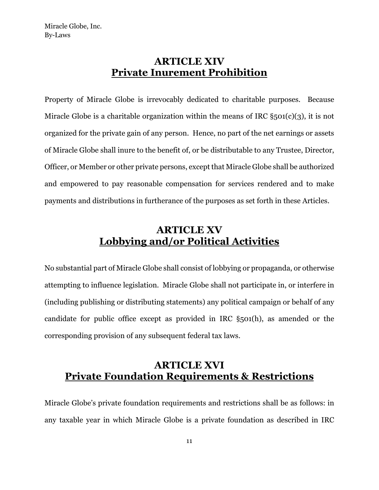# **ARTICLE XIV Private Inurement Prohibition**

Property of Miracle Globe is irrevocably dedicated to charitable purposes. Because Miracle Globe is a charitable organization within the means of IRC  $\S$ 501(c)(3), it is not organized for the private gain of any person. Hence, no part of the net earnings or assets of Miracle Globe shall inure to the benefit of, or be distributable to any Trustee, Director, Officer, or Member or other private persons, except that Miracle Globe shall be authorized and empowered to pay reasonable compensation for services rendered and to make payments and distributions in furtherance of the purposes as set forth in these Articles.

# **ARTICLE XV Lobbying and/or Political Activities**

No substantial part of Miracle Globe shall consist of lobbying or propaganda, or otherwise attempting to influence legislation. Miracle Globe shall not participate in, or interfere in (including publishing or distributing statements) any political campaign or behalf of any candidate for public office except as provided in IRC §501(h), as amended or the corresponding provision of any subsequent federal tax laws.

# **ARTICLE XVI Private Foundation Requirements & Restrictions**

Miracle Globe's private foundation requirements and restrictions shall be as follows: in any taxable year in which Miracle Globe is a private foundation as described in IRC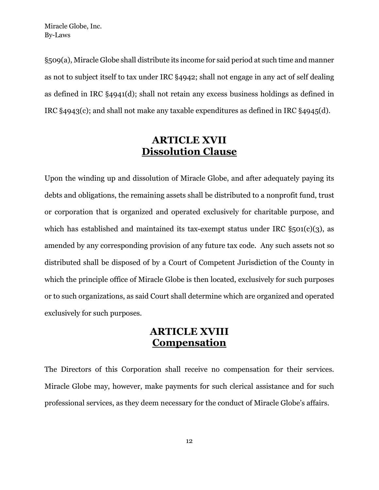§509(a), Miracle Globe shall distribute its income for said period at such time and manner as not to subject itself to tax under IRC §4942; shall not engage in any act of self dealing as defined in IRC §4941(d); shall not retain any excess business holdings as defined in IRC §4943(c); and shall not make any taxable expenditures as defined in IRC §4945(d).

# **ARTICLE XVII Dissolution Clause**

Upon the winding up and dissolution of Miracle Globe, and after adequately paying its debts and obligations, the remaining assets shall be distributed to a nonprofit fund, trust or corporation that is organized and operated exclusively for charitable purpose, and which has established and maintained its tax-exempt status under IRC  $\S_501(c)(3)$ , as amended by any corresponding provision of any future tax code. Any such assets not so distributed shall be disposed of by a Court of Competent Jurisdiction of the County in which the principle office of Miracle Globe is then located, exclusively for such purposes or to such organizations, as said Court shall determine which are organized and operated exclusively for such purposes.

### **ARTICLE XVIII Compensation**

The Directors of this Corporation shall receive no compensation for their services. Miracle Globe may, however, make payments for such clerical assistance and for such professional services, as they deem necessary for the conduct of Miracle Globe's affairs.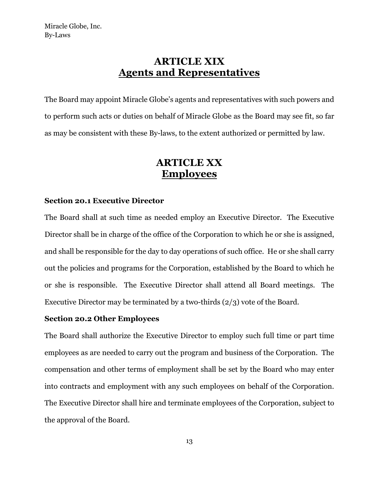# **ARTICLE XIX Agents and Representatives**

The Board may appoint Miracle Globe's agents and representatives with such powers and to perform such acts or duties on behalf of Miracle Globe as the Board may see fit, so far as may be consistent with these By-laws, to the extent authorized or permitted by law.

### **ARTICLE XX Employees**

#### **Section 20.1 Executive Director**

The Board shall at such time as needed employ an Executive Director. The Executive Director shall be in charge of the office of the Corporation to which he or she is assigned, and shall be responsible for the day to day operations of such office. He or she shall carry out the policies and programs for the Corporation, established by the Board to which he or she is responsible. The Executive Director shall attend all Board meetings. The Executive Director may be terminated by a two-thirds (2/3) vote of the Board.

#### **Section 20.2 Other Employees**

The Board shall authorize the Executive Director to employ such full time or part time employees as are needed to carry out the program and business of the Corporation. The compensation and other terms of employment shall be set by the Board who may enter into contracts and employment with any such employees on behalf of the Corporation. The Executive Director shall hire and terminate employees of the Corporation, subject to the approval of the Board.